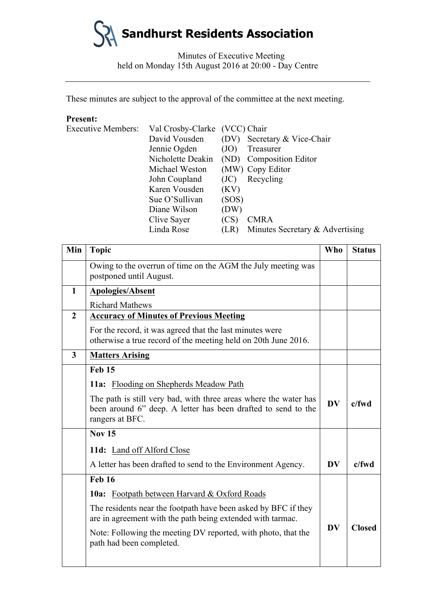

Minutes of Executive Meeting held on Monday 15th August 2016 at 20:00 - Day Centre

These minutes are subject to the approval of the committee at the next meeting.

# **Present:**

| <b>Executive Members:</b> | Val Crosby-Clarke (VCC) Chair |       |                                 |
|---------------------------|-------------------------------|-------|---------------------------------|
|                           | David Vousden                 |       | (DV) Secretary & Vice-Chair     |
|                           | Jennie Ogden                  | (JO)  | Treasurer                       |
|                           | Nicholette Deakin             |       | (ND) Composition Editor         |
|                           | Michael Weston                |       | (MW) Copy Editor                |
|                           | John Coupland                 | (JC)  | Recycling                       |
|                           | Karen Vousden                 | (KV)  |                                 |
|                           | Sue O'Sullivan                | (SOS) |                                 |
|                           | Diane Wilson                  | (DW)  |                                 |
|                           | Clive Sayer                   | (CS)  | <b>CMRA</b>                     |
|                           | Linda Rose                    | (LR)  | Minutes Secretary & Advertising |

| Min                     | <b>Topic</b>                                                                                                                                         | <b>Who</b> | <b>Status</b> |
|-------------------------|------------------------------------------------------------------------------------------------------------------------------------------------------|------------|---------------|
|                         | Owing to the overrun of time on the AGM the July meeting was<br>postponed until August.                                                              |            |               |
| $\mathbf{1}$            | <b>Apologies/Absent</b>                                                                                                                              |            |               |
|                         | <b>Richard Mathews</b>                                                                                                                               |            |               |
| $\overline{2}$          | <b>Accuracy of Minutes of Previous Meeting</b>                                                                                                       |            |               |
|                         | For the record, it was agreed that the last minutes were<br>otherwise a true record of the meeting held on 20th June 2016.                           |            |               |
| $\overline{\mathbf{3}}$ | <b>Matters Arising</b>                                                                                                                               |            |               |
|                         | <b>Feb 15</b>                                                                                                                                        |            |               |
|                         | 11a: Flooding on Shepherds Meadow Path                                                                                                               |            |               |
|                         | The path is still very bad, with three areas where the water has<br>been around 6" deep. A letter has been drafted to send to the<br>rangers at BFC. | <b>DV</b>  | $c$ /fwd      |
|                         | <b>Nov 15</b>                                                                                                                                        |            |               |
|                         | 11d: Land off Alford Close                                                                                                                           |            |               |
|                         | A letter has been drafted to send to the Environment Agency.                                                                                         | <b>DV</b>  | $c$ /fwd      |
|                         | <b>Feb 16</b>                                                                                                                                        |            |               |
|                         | <b>10a:</b> Footpath between Harvard & Oxford Roads                                                                                                  |            |               |
|                         | The residents near the footpath have been asked by BFC if they<br>are in agreement with the path being extended with tarmac.                         | <b>DV</b>  |               |
|                         | Note: Following the meeting DV reported, with photo, that the<br>path had been completed.                                                            |            | <b>Closed</b> |
|                         |                                                                                                                                                      |            |               |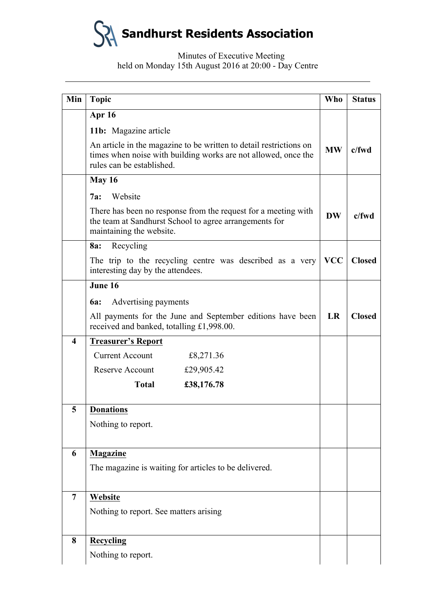**Sandhurst Residents Association**

## Minutes of Executive Meeting held on Monday 15th August 2016 at 20:00 - Day Centre

| Min                    | <b>Topic</b>                                                                                                                                                      | <b>Who</b> | <b>Status</b> |
|------------------------|-------------------------------------------------------------------------------------------------------------------------------------------------------------------|------------|---------------|
|                        | Apr 16                                                                                                                                                            |            |               |
|                        | 11b: Magazine article                                                                                                                                             |            |               |
|                        | An article in the magazine to be written to detail restrictions on<br>times when noise with building works are not allowed, once the<br>rules can be established. | <b>MW</b>  | $c$ /fwd      |
|                        | <b>May 16</b>                                                                                                                                                     |            |               |
|                        | Website<br>7a:                                                                                                                                                    |            |               |
|                        | There has been no response from the request for a meeting with<br>the team at Sandhurst School to agree arrangements for<br>maintaining the website.              | <b>DW</b>  | $c$ /fwd      |
|                        | Recycling<br>8a:                                                                                                                                                  |            |               |
|                        | The trip to the recycling centre was described as a very<br>interesting day by the attendees.                                                                     | <b>VCC</b> | <b>Closed</b> |
|                        | June 16                                                                                                                                                           |            |               |
|                        | Advertising payments<br><b>6a:</b>                                                                                                                                |            |               |
|                        | All payments for the June and September editions have been<br>received and banked, totalling £1,998.00.                                                           | LR         | <b>Closed</b> |
| $\boldsymbol{\Lambda}$ | <b>Treasurer's Report</b>                                                                                                                                         |            |               |
|                        | <b>Current Account</b><br>£8,271.36                                                                                                                               |            |               |
|                        | Reserve Account<br>£29,905.42                                                                                                                                     |            |               |
|                        | <b>Total</b><br>£38,176.78                                                                                                                                        |            |               |
| 5                      | <b>Donations</b>                                                                                                                                                  |            |               |
|                        | Nothing to report.                                                                                                                                                |            |               |
|                        |                                                                                                                                                                   |            |               |
| 6                      | <b>Magazine</b>                                                                                                                                                   |            |               |
|                        | The magazine is waiting for articles to be delivered.                                                                                                             |            |               |
| 7                      | Website                                                                                                                                                           |            |               |
|                        | Nothing to report. See matters arising                                                                                                                            |            |               |
|                        |                                                                                                                                                                   |            |               |
| 8                      | <b>Recycling</b>                                                                                                                                                  |            |               |
|                        | Nothing to report.                                                                                                                                                |            |               |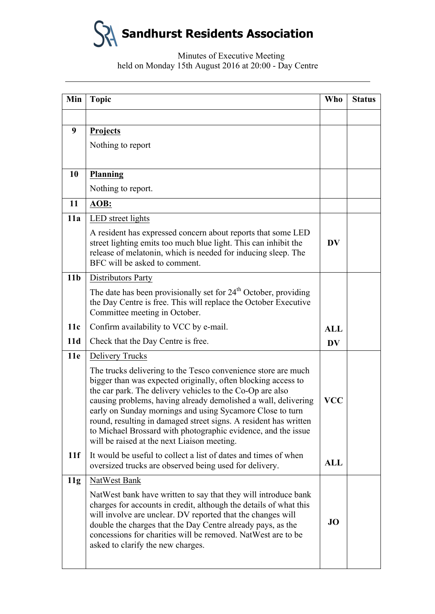**Sandhurst Residents Association**

## Minutes of Executive Meeting held on Monday 15th August 2016 at 20:00 - Day Centre

| Min             | <b>Topic</b>                                                                                                                                                                                                                                                                                                                                                                                                                                                                                                   | <b>Who</b> | <b>Status</b> |
|-----------------|----------------------------------------------------------------------------------------------------------------------------------------------------------------------------------------------------------------------------------------------------------------------------------------------------------------------------------------------------------------------------------------------------------------------------------------------------------------------------------------------------------------|------------|---------------|
|                 |                                                                                                                                                                                                                                                                                                                                                                                                                                                                                                                |            |               |
| 9               | Projects                                                                                                                                                                                                                                                                                                                                                                                                                                                                                                       |            |               |
|                 | Nothing to report                                                                                                                                                                                                                                                                                                                                                                                                                                                                                              |            |               |
|                 |                                                                                                                                                                                                                                                                                                                                                                                                                                                                                                                |            |               |
| 10              | <b>Planning</b>                                                                                                                                                                                                                                                                                                                                                                                                                                                                                                |            |               |
|                 | Nothing to report.                                                                                                                                                                                                                                                                                                                                                                                                                                                                                             |            |               |
| 11              | AOB:                                                                                                                                                                                                                                                                                                                                                                                                                                                                                                           |            |               |
| 11a             | LED street lights                                                                                                                                                                                                                                                                                                                                                                                                                                                                                              |            |               |
|                 | A resident has expressed concern about reports that some LED<br>street lighting emits too much blue light. This can inhibit the<br>release of melatonin, which is needed for inducing sleep. The<br>BFC will be asked to comment.                                                                                                                                                                                                                                                                              | <b>DV</b>  |               |
| 11 <sub>b</sub> | Distributors Party                                                                                                                                                                                                                                                                                                                                                                                                                                                                                             |            |               |
|                 | The date has been provisionally set for $24th$ October, providing<br>the Day Centre is free. This will replace the October Executive<br>Committee meeting in October.                                                                                                                                                                                                                                                                                                                                          |            |               |
| 11c             | Confirm availability to VCC by e-mail.                                                                                                                                                                                                                                                                                                                                                                                                                                                                         | <b>ALL</b> |               |
| 11d             | Check that the Day Centre is free.                                                                                                                                                                                                                                                                                                                                                                                                                                                                             | <b>DV</b>  |               |
| 11e             | <b>Delivery Trucks</b>                                                                                                                                                                                                                                                                                                                                                                                                                                                                                         |            |               |
|                 | The trucks delivering to the Tesco convenience store are much<br>bigger than was expected originally, often blocking access to<br>the car park. The delivery vehicles to the Co-Op are also<br>causing problems, having already demolished a wall, delivering<br>early on Sunday mornings and using Sycamore Close to turn<br>round, resulting in damaged street signs. A resident has written<br>to Michael Brossard with photographic evidence, and the issue<br>will be raised at the next Liaison meeting. | <b>VCC</b> |               |
| 11f             | It would be useful to collect a list of dates and times of when<br>oversized trucks are observed being used for delivery.                                                                                                                                                                                                                                                                                                                                                                                      | <b>ALL</b> |               |
| 11g             | NatWest Bank                                                                                                                                                                                                                                                                                                                                                                                                                                                                                                   |            |               |
|                 | NatWest bank have written to say that they will introduce bank<br>charges for accounts in credit, although the details of what this<br>will involve are unclear. DV reported that the changes will<br>double the charges that the Day Centre already pays, as the<br>concessions for charities will be removed. NatWest are to be<br>asked to clarify the new charges.                                                                                                                                         | <b>JO</b>  |               |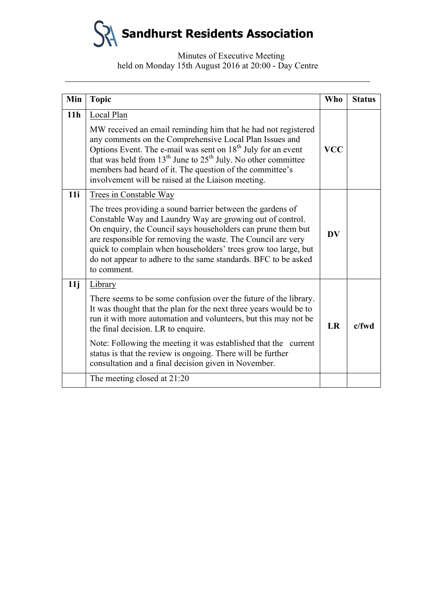**Sandhurst Residents Association**

Minutes of Executive Meeting held on Monday 15th August 2016 at 20:00 - Day Centre

| Min             | <b>Topic</b>                                                                                                                                                                                                                                                                                                                                                                                                                                        | Who        | <b>Status</b> |
|-----------------|-----------------------------------------------------------------------------------------------------------------------------------------------------------------------------------------------------------------------------------------------------------------------------------------------------------------------------------------------------------------------------------------------------------------------------------------------------|------------|---------------|
| 11 <sub>h</sub> | Local Plan<br>MW received an email reminding him that he had not registered<br>any comments on the Comprehensive Local Plan Issues and<br>Options Event. The e-mail was sent on $18th$ July for an event<br>that was held from $13th$ June to $25th$ July. No other committee<br>members had heard of it. The question of the committee's<br>involvement will be raised at the Liaison meeting.                                                     | <b>VCC</b> |               |
| 11i             | <b>Trees in Constable Way</b><br>The trees providing a sound barrier between the gardens of<br>Constable Way and Laundry Way are growing out of control.<br>On enquiry, the Council says householders can prune them but<br>are responsible for removing the waste. The Council are very<br>quick to complain when householders' trees grow too large, but<br>do not appear to adhere to the same standards. BFC to be asked<br>to comment.         | <b>DV</b>  |               |
| 11j             | Library<br>There seems to be some confusion over the future of the library.<br>It was thought that the plan for the next three years would be to<br>run it with more automation and volunteers, but this may not be<br>the final decision. LR to enquire.<br>Note: Following the meeting it was established that the current<br>status is that the review is ongoing. There will be further<br>consultation and a final decision given in November. | LR         | $c$ /fwd      |
|                 | The meeting closed at 21:20                                                                                                                                                                                                                                                                                                                                                                                                                         |            |               |